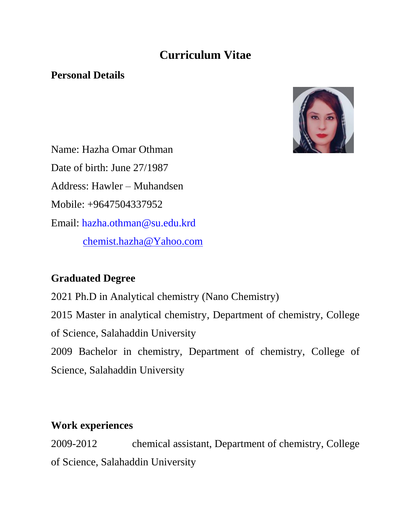# **Curriculum Vitae**

#### **Personal Details**



Name: Hazha Omar Othman Date of birth: June 27/1987 Address: Hawler – Muhandsen Mobile: +9647504337952 Email: [hazha.othman@su.edu.krd](mailto:hazha.othman@su.edu.krd) [chemist.hazha@Yahoo.com](mailto:chemist.hazha@Yahoo.com)

### **Graduated Degree**

2021 Ph.D in Analytical chemistry (Nano Chemistry) 2015 Master in analytical chemistry, Department of chemistry, College of Science, Salahaddin University 2009 Bachelor in chemistry, Department of chemistry, College of Science, Salahaddin University

#### **Work experiences**

2009-2012 chemical assistant, Department of chemistry, College of Science, Salahaddin University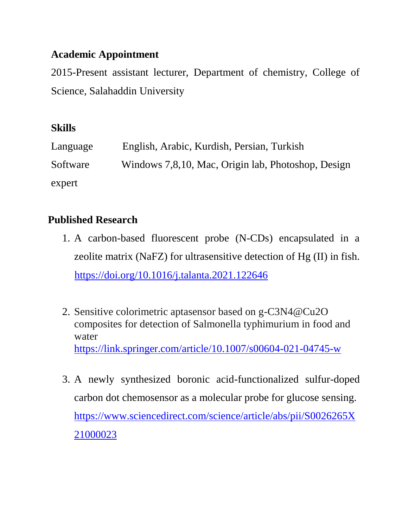### **Academic Appointment**

2015-Present assistant lecturer, Department of chemistry, College of Science, Salahaddin University

# **Skills**

| Language | English, Arabic, Kurdish, Persian, Turkish         |
|----------|----------------------------------------------------|
| Software | Windows 7,8,10, Mac, Origin lab, Photoshop, Design |
| expert   |                                                    |

# **Published Research**

- 1. A carbon-based fluorescent probe (N-CDs) encapsulated in a zeolite matrix (NaFZ) for ultrasensitive detection of Hg (II) in fish. <https://doi.org/10.1016/j.talanta.2021.122646>
- 2. Sensitive colorimetric aptasensor based on g-C3N4@Cu2O composites for detection of Salmonella typhimurium in food and water <https://link.springer.com/article/10.1007/s00604-021-04745-w>
- 3. A newly synthesized boronic acid-functionalized sulfur-doped carbon dot chemosensor as a molecular probe for glucose sensing. [https://www.sciencedirect.com/science/article/abs/pii/S0026265X](https://www.sciencedirect.com/science/article/abs/pii/S0026265X21000023) [21000023](https://www.sciencedirect.com/science/article/abs/pii/S0026265X21000023)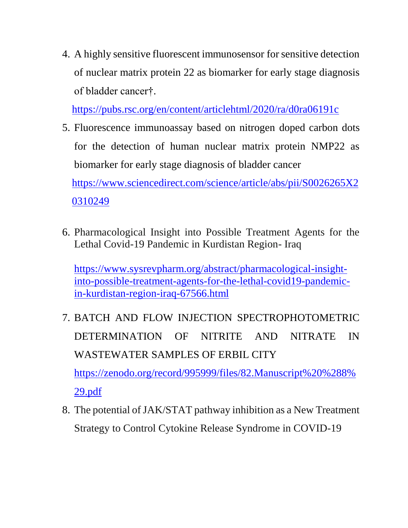4. A highly sensitive fluorescent immunosensor for sensitive detection of nuclear matrix protein 22 as biomarker for early stage diagnosis of bladder cancer†.

<https://pubs.rsc.org/en/content/articlehtml/2020/ra/d0ra06191c>

5. Fluorescence immunoassay based on nitrogen doped carbon dots for the detection of human nuclear matrix protein NMP22 as biomarker for early stage diagnosis of bladder cancer [https://www.sciencedirect.com/science/article/abs/pii/S0026265X2](https://www.sciencedirect.com/science/article/abs/pii/S0026265X20310249)

[0310249](https://www.sciencedirect.com/science/article/abs/pii/S0026265X20310249)

6. Pharmacological Insight into Possible Treatment Agents for the Lethal Covid-19 Pandemic in Kurdistan Region- Iraq

[https://www.sysrevpharm.org/abstract/pharmacological-insight](https://www.sysrevpharm.org/abstract/pharmacological-insight-into-possible-treatment-agents-for-the-lethal-covid19-pandemic-in-kurdistan-region-iraq-67566.html)[into-possible-treatment-agents-for-the-lethal-covid19-pandemic](https://www.sysrevpharm.org/abstract/pharmacological-insight-into-possible-treatment-agents-for-the-lethal-covid19-pandemic-in-kurdistan-region-iraq-67566.html)[in-kurdistan-region-iraq-67566.html](https://www.sysrevpharm.org/abstract/pharmacological-insight-into-possible-treatment-agents-for-the-lethal-covid19-pandemic-in-kurdistan-region-iraq-67566.html)

7. BATCH AND FLOW INJECTION SPECTROPHOTOMETRIC DETERMINATION OF NITRITE AND NITRATE IN WASTEWATER SAMPLES OF ERBIL CITY [https://zenodo.org/record/995999/files/82.Manuscript%20%288%](https://zenodo.org/record/995999/files/82.Manuscript%20%288%29.pdf)

[29.pdf](https://zenodo.org/record/995999/files/82.Manuscript%20%288%29.pdf)

8. The potential of JAK/STAT pathway inhibition as a New Treatment Strategy to Control Cytokine Release Syndrome in COVID-19